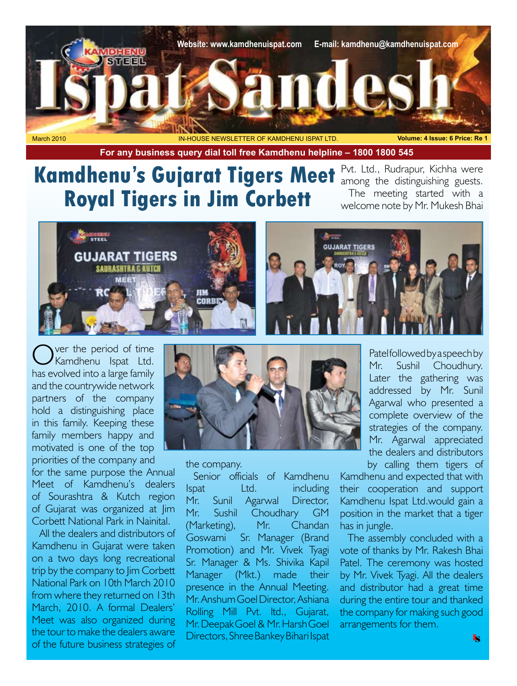

**For any business query dial toll free Kamdhenu helpline – 1800 1800 545**

## **Kamdhenu's Gujarat Tigers Meet Royal Tigers in Jim Corbett**

Pvt. Ltd., Rudrapur, Kichha were among the distinguishing guests. The meeting started with a welcome note by Mr. Mukesh Bhai



Over the period of time<br>
Kamdhenu Ispat Ltd. has evolved into a large family and the countrywide network partners of the company hold a distinguishing place in this family. Keeping these family members happy and motivated is one of the top

priorities of the company and for the same purpose the Annual Meet of Kamdhenu's dealers of Sourashtra & Kutch region of Gujarat was organized at Jim Corbett National Park in Nainital.

All the dealers and distributors of Kamdhenu in Gujarat were taken on a two days long recreational trip by the company to Jim Corbett National Park on 10th March 2010 from where they returned on 13th March, 2010. A formal Dealers' Meet was also organized during the tour to make the dealers aware of the future business strategies of



the company.

Senior officials of Kamdhenu Ispat Ltd. including Mr. Sunil Agarwal Director, Mr. Sushil Choudhary GM (Marketing), Mr. Chandan Goswami Sr. Manager (Brand Promotion) and Mr. Vivek Tyagi Sr. Manager & Ms. Shivika Kapil Manager (Mkt.) made their presence in the Annual Meeting. Mr. Anshum Goel Director, Ashiana Rolling Mill Pvt. ltd., Gujarat, Mr. Deepak Goel & Mr. Harsh Goel Directors, Shree Bankey Bihari Ispat

Patel followed by a speech by Mr. Sushil Choudhury. Later the gathering was addressed by Mr. Sunil Agarwal who presented a complete overview of the strategies of the company. Mr. Agarwal appreciated the dealers and distributors by calling them tigers of

Kamdhenu and expected that with their cooperation and support Kamdhenu Ispat Ltd.would gain a position in the market that a tiger has in jungle.

The assembly concluded with a vote of thanks by Mr. Rakesh Bhai Patel. The ceremony was hosted by Mr. Vivek Tyagi. All the dealers and distributor had a great time during the entire tour and thanked the company for making such good arrangements for them.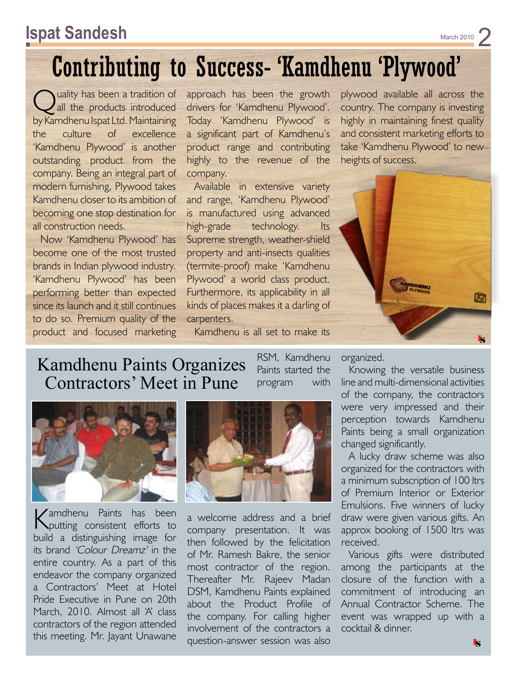#### **Ispat Sandesh** March 2010 **And Contact Sandesh March 2010**

# Contributing to Success- 'Kamdhenu 'Plywood'

Quality has been a tradition of<br>all the products introduced by Kamdhenu Ispat Ltd. Maintaining the culture of excellence 'Kamdhenu Plywood' is another outstanding product from the company. Being an integral part of modern furnishing, Plywood takes Kamdhenu closer to its ambition of becoming one stop destination for all construction needs.

Now 'Kamdhenu Plywood' has become one of the most trusted brands in Indian plywood industry. 'Kamdhenu Plywood' has been performing better than expected since its launch and it still continues to do so. Premium quality of the product and focused marketing approach has been the growth drivers for 'Kamdhenu Plywood'. Today 'Kamdhenu Plywood' is a significant part of Kamdhenu's product range and contributing highly to the revenue of the company.

Available in extensive variety and range, 'Kamdhenu Plywood' is manufactured using advanced high-grade technology. Its Supreme strength, weather-shield property and anti-insects qualities (termite-proof) make 'Kamdhenu Plywood' a world class product. Furthermore, its applicability in all kinds of places makes it a darling of carpenters.

plywood available all across the country. The company is investing highly in maintaining finest quality and consistent marketing efforts to take 'Kamdhenu Plywood' to new heights of success.



Kamdhenu is all set to make its

RSM, Kamdhenu Paints started the program with

#### Kamdhenu Paints Organizes Contractors' Meet in Pune



Kamdhenu Paints has been putting consistent efforts to build a distinguishing image for its brand 'Colour Dreamz' in the entire country. As a part of this endeavor the company organized a Contractors' Meet at Hotel Pride Executive in Pune on 20th March, 2010. Almost all 'A' class contractors of the region attended this meeting. Mr. Jayant Unawane



a welcome address and a brief company presentation. It was then followed by the felicitation of Mr. Ramesh Bakre, the senior most contractor of the region. Thereafter Mr. Rajeev Madan DSM, Kamdhenu Paints explained about the Product Profile of the company. For calling higher involvement of the contractors a question-answer session was also

organized.

Knowing the versatile business line and multi-dimensional activities of the company, the contractors were very impressed and their perception towards Kamdhenu Paints being a small organization changed significantly.

A lucky draw scheme was also organized for the contractors with a minimum subscription of 100 ltrs of Premium Interior or Exterior Emulsions. Five winners of lucky draw were given various gifts. An approx booking of 1500 ltrs was received.

Various gifts were distributed among the participants at the closure of the function with a commitment of introducing an Annual Contractor Scheme. The event was wrapped up with a cocktail & dinner.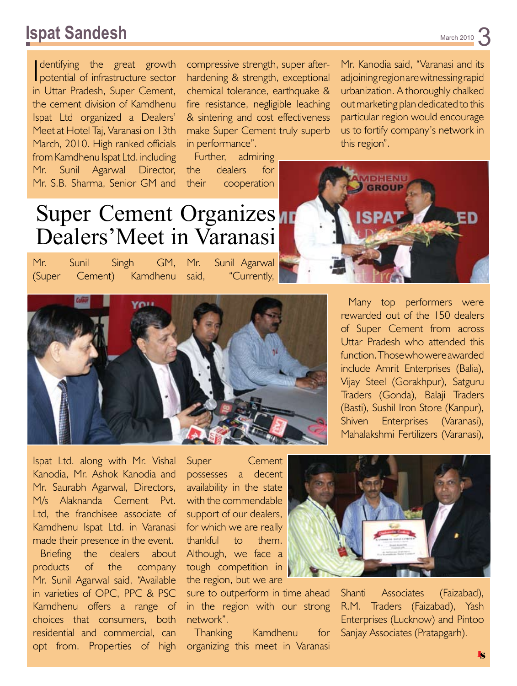#### **Ispat Sandesh** March 2010 3

dentifying the great growth<br>potential of infrastructure sector dentifying the great growth in Uttar Pradesh, Super Cement, the cement division of Kamdhenu Ispat Ltd organized a Dealers' Meet at Hotel Taj, Varanasi on 13th March, 2010. High ranked officials from Kamdhenu Ispat Ltd. including Mr. Sunil Agarwal Director, Mr. S.B. Sharma, Senior GM and

compressive strength, super afterhardening & strength, exceptional chemical tolerance, earthquake & fire resistance, negligible leaching & sintering and cost effectiveness make Super Cement truly superb in performance".

Further, admiring the dealers for their cooperation

Mr. Kanodia said, "Varanasi and its adjoining region are witnessing rapid urbanization. A thoroughly chalked out marketing plan dedicated to this particular region would encourage us to fortify company's network in this region".



Mr. Sunil Singh GM, Mr. (Super Cement) Kamdhenu Sunil Agarwal said, "Currently,





Many top performers were rewarded out of the 150 dealers of Super Cement from across Uttar Pradesh who attended this function. Those who were awarded include Amrit Enterprises (Balia), Vijay Steel (Gorakhpur), Satguru Traders (Gonda), Balaji Traders (Basti), Sushil Iron Store (Kanpur), Shiven Enterprises (Varanasi), Mahalakshmi Fertilizers (Varanasi),

Ispat Ltd. along with Mr. Vishal Kanodia, Mr. Ashok Kanodia and Mr. Saurabh Agarwal, Directors, M/s Alaknanda Cement Pvt. Ltd, the franchisee associate of Kamdhenu Ispat Ltd. in Varanasi made their presence in the event.

Briefing the dealers about products of the company Mr. Sunil Agarwal said, "Available in varieties of OPC, PPC & PSC Kamdhenu offers a range of choices that consumers, both residential and commercial, can opt from. Properties of high

Super Cement possesses a decent availability in the state with the commendable support of our dealers, for which we are really thankful to them. Although, we face a tough competition in the region, but we are

sure to outperform in time ahead in the region with our strong network".

Thanking Kamdhenu for organizing this meet in Varanasi



Shanti Associates (Faizabad), R.M. Traders (Faizabad), Yash Enterprises (Lucknow) and Pintoo Sanjay Associates (Pratapgarh).